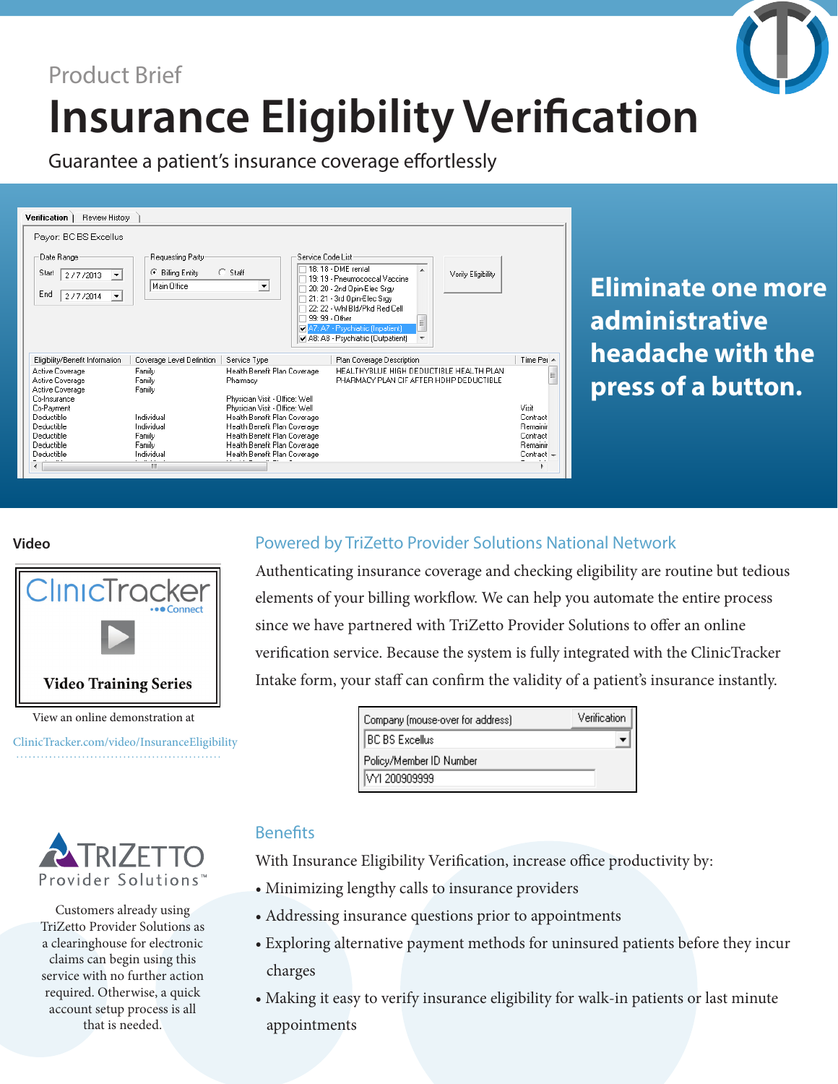

Guarantee a patient's insurance coverage effortlessly

| Review History<br>Verification                                                       |                                                                |                                                                |                                     |                                                                                                                                                                                                                            |                                                                                    |             |  |
|--------------------------------------------------------------------------------------|----------------------------------------------------------------|----------------------------------------------------------------|-------------------------------------|----------------------------------------------------------------------------------------------------------------------------------------------------------------------------------------------------------------------------|------------------------------------------------------------------------------------|-------------|--|
| Payor: BC BS Excellus                                                                |                                                                |                                                                |                                     |                                                                                                                                                                                                                            |                                                                                    |             |  |
| Date Ranger<br>Start<br>2/7/2013<br>$\overline{\phantom{a}}$<br>End<br>2/7/2014<br>▼ | Requesting Party-<br><b>Billing Entity</b><br>G<br>Main Office | C Staff<br>$\blacktriangledown$                                | Service Code List<br>99: 99 - Other | 18:18 - DME rental<br>19:19 - Pneumococcal Vaccine<br>20: 20 - 2nd Opin-Elec Srgy<br>21: 21 - 3rd Opin-Elec Srgy<br>22: 22 - Whi Bid/Pkd Red Cell<br>A7: A7 - Psychiatric (Inpatient)<br>A8: A8 - Psychiatric (Outpatient) | Verify Eligibility<br>티<br>$\overline{\phantom{a}}$                                |             |  |
| Eligibility/Benefit Information                                                      | Coverage Level Definition                                      | Service Type                                                   |                                     | Plan Coverage Description                                                                                                                                                                                                  |                                                                                    | Time Per ▲  |  |
| Active Coverage<br>Active Coverage<br>Active Coverage                                | Family<br>Family<br>Family                                     | Health Benefit Plan Coverage<br>Pharmacy                       |                                     |                                                                                                                                                                                                                            | HEALTHYBLUE HIGH DEDUCTIBLE HEALTH PLAN<br>PHARMACY PLAN CIF AFTER HOHP DEDUCTIBLE | Ξ           |  |
| Co-Insurance                                                                         |                                                                | Physician Visit - Office: Well                                 |                                     |                                                                                                                                                                                                                            |                                                                                    | Visit       |  |
| Co-Payment<br>Deductible                                                             | Individual                                                     | Physician Visit - Office: Well<br>Health Benefit Plan Coverage |                                     |                                                                                                                                                                                                                            | Contract                                                                           |             |  |
| Deductible                                                                           | Individual                                                     | Health Benefit Plan Coverage                                   |                                     |                                                                                                                                                                                                                            | Remainir                                                                           |             |  |
| Deductible                                                                           | Family                                                         | Health Benefit Plan Coverage                                   |                                     |                                                                                                                                                                                                                            | Contract                                                                           |             |  |
| Deductible                                                                           | Family                                                         | Health Benefit Plan Coverage                                   |                                     |                                                                                                                                                                                                                            |                                                                                    | Remainir    |  |
| Deductible                                                                           | Individual                                                     | Health Benefit Plan Coverage                                   |                                     |                                                                                                                                                                                                                            |                                                                                    | $Control +$ |  |
| $\overline{a}$                                                                       | m.                                                             |                                                                |                                     |                                                                                                                                                                                                                            |                                                                                    |             |  |

**Eliminate one more administrative headache with the press of a button.**

#### **Video**



View an online demonstration at

[ClinicTracker.com/video/InsuranceEligibility](http://clinictracker.com/video/InsuranceEligibility)



Customers already using TriZetto Provider Solutions as a clearinghouse for electronic claims can begin using this service with no further action required. Otherwise, a quick account setup process is all that is needed.

### Powered by TriZetto Provider Solutions National Network

Authenticating insurance coverage and checking eligibility are routine but tedious elements of your billing workflow. We can help you automate the entire process since we have partnered with TriZetto Provider Solutions to offer an online verification service. Because the system is fully integrated with the ClinicTracker Intake form, your staff can confirm the validity of a patient's insurance instantly.

| Company (mouse-over for address) | Verification |  |  |
|----------------------------------|--------------|--|--|
| BC BS Excellus                   |              |  |  |
| Policy/Member ID Number          |              |  |  |
| VYI 200909999                    |              |  |  |

## **Benefits**

With Insurance Eligibility Verification, increase office productivity by:

- Minimizing lengthy calls to insurance providers
- Addressing insurance questions prior to appointments
- Exploring alternative payment methods for uninsured patients before they incur charges
- Making it easy to verify insurance eligibility for walk-in patients or last minute appointments